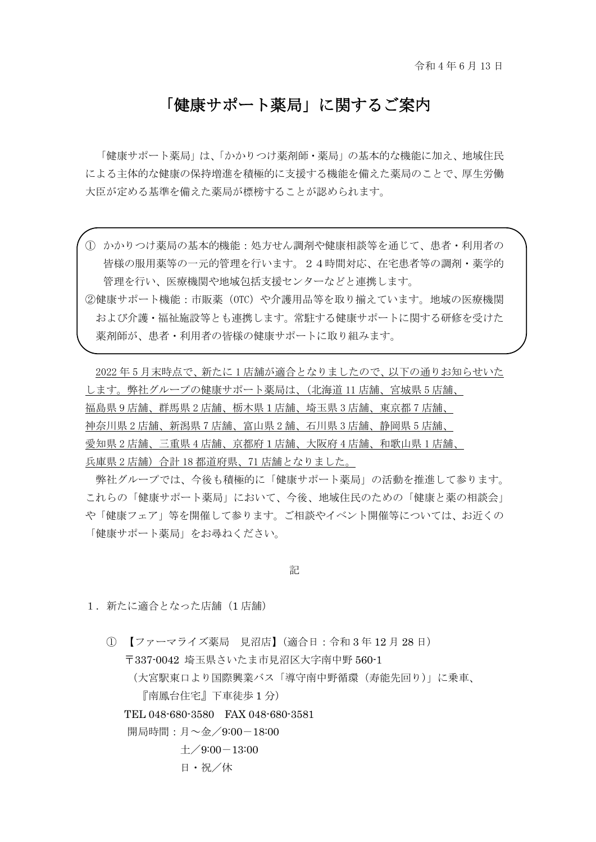## 「健康サポート薬局」に関するご案内

「健康サポート薬局」は、「かかりつけ薬剤師・薬局」の基本的な機能に加え、地域住民 による主体的な健康の保持増進を積極的に支援する機能を備えた薬局のことで、厚生労働 大臣が定める基準を備えた薬局が標榜することが認められます。

① かかりつけ薬局の基本的機能:処方せん調剤や健康相談等を通じて、患者・利用者の 皆様の服用薬等の一元的管理を行います。24時間対応、在宅患者等の調剤・薬学的 管理を行い、医療機関や地域包括支援センターなどと連携します。

②健康サポート機能:市販薬(OTC)や介護用品等を取り揃えています。地域の医療機関 および介護・福祉施設等とも連携します。常駐する健康サポートに関する研修を受けた 薬剤師が、患者・利用者の皆様の健康サポートに取り組みます。

2022 年 5 月末時点で、新たに 1 店舗が適合となりましたので、以下の通りお知らせいた します。弊社グループの健康サポート薬局は、(北海道 11 店舗、宮城県 5 店舗、 福島県 9 店舗、群馬県 2 店舗、栃木県1店舗、埼玉県 3 店舗、東京都 7 店舗、 神奈川県 2 店舗、新潟県 7 店舗、富山県 2 舗、石川県 3 店舗、静岡県 5 店舗、 愛知県 2 店舗、三重県 4 店舗、京都府1店舗、大阪府 4 店舗、和歌山県 1 店舗、 兵庫県 2 店舗)合計 18 都道府県、71 店舗となりました。

弊社グループでは、今後も積極的に「健康サポート薬局」の活動を推進して参ります。 これらの「健康サポート薬局」において、今後、地域住民のための「健康と薬の相談会」 や「健康フェア」等を開催して参ります。ご相談やイベント開催等については、お近くの 「健康サポート薬局」をお尋ねください。

記

1. 新たに適合となった店舗(1店舗)

① 【ファーマライズ薬局 見沼店】(適合日:令和 3 年 12 月 28 日) 〒337-0042 埼玉県さいたま市見沼区大字南中野 560-1 (大宮駅東口より国際興業バス「導守南中野循環(寿能先回り)」に乗車、 『南鳳台住宅』下車徒歩 1 分) TEL 048-680-3580 FAX 048-680-3581 開局時間:月~金/9:00-18:00  $\pm$ /9:00-13:00 日・祝/休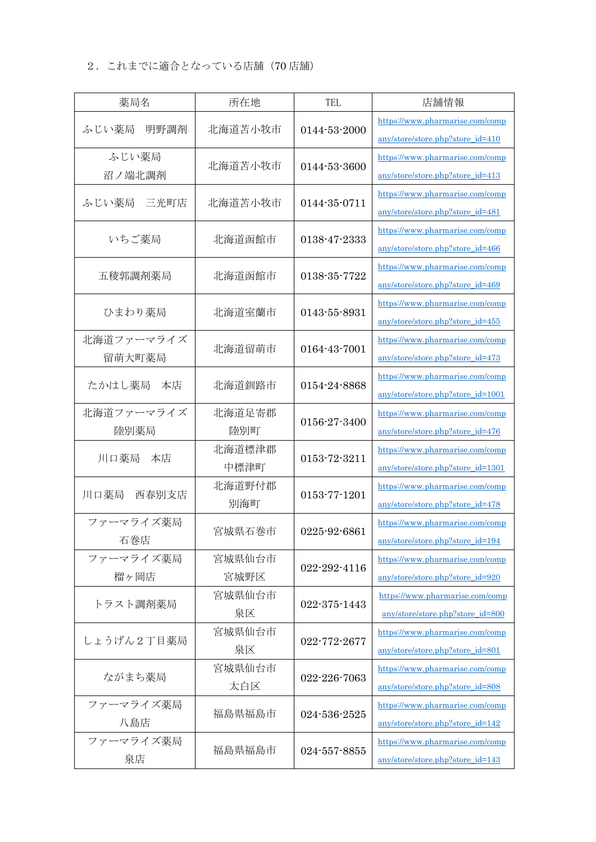## 2.これまでに適合となっている店舗(70 店舗)

| 薬局名                  | 所在地            | TEL          | 店舗情報                                                                 |
|----------------------|----------------|--------------|----------------------------------------------------------------------|
| ふじい薬局<br>明野調剤        | 北海道苫小牧市        | 0144-53-2000 | https://www.pharmarise.com/comp<br>any/store/store.php?store_id=410  |
| ふじい薬局<br>沼ノ端北調剤      | 北海道苫小牧市        | 0144-53-3600 | https://www.pharmarise.com/comp<br>any/store/store.php?store_id=413  |
| ふじい薬局<br>三光町店        | 北海道苫小牧市        | 0144-35-0711 | https://www.pharmarise.com/comp<br>any/store/store.php?store_id=481  |
| いちご薬局                | 北海道函館市         | 0138-47-2333 | https://www.pharmarise.com/comp<br>any/store/store.php?store_id=466  |
| 五稜郭調剤薬局              | 北海道函館市         | 0138-35-7722 | https://www.pharmarise.com/comp<br>any/store/store.php?store_id=469  |
| ひまわり薬局               | 北海道室蘭市         | 0143-55-8931 | https://www.pharmarise.com/comp<br>any/store/store.php?store_id=455  |
| 北海道ファーマライズ<br>留萌大町薬局 | 北海道留萌市         | 0164-43-7001 | https://www.pharmarise.com/comp<br>any/store/store.php?store_id=473  |
| たかはし薬局<br>本店         | 北海道釧路市         | 0154-24-8868 | https://www.pharmarise.com/comp<br>any/store/store.php?store_id=1001 |
| 北海道ファーマライズ<br>陸別薬局   | 北海道足寄郡<br>陸別町  | 0156-27-3400 | https://www.pharmarise.com/comp<br>any/store/store.php?store_id=476  |
| 川口薬局<br>本店           | 北海道標津郡<br>中標津町 | 0153-72-3211 | https://www.pharmarise.com/comp<br>any/store/store.php?store_id=1301 |
| 西春別支店<br>川口薬局        | 北海道野付郡<br>別海町  | 0153-77-1201 | https://www.pharmarise.com/comp<br>any/store/store.php?store_id=478  |
| ファーマライズ薬局<br>石巻店     | 宮城県石巻市         | 0225-92-6861 | https://www.pharmarise.com/comp<br>any/store/store.php?store_id=194  |
| ファーマライズ薬局<br>榴ヶ岡店    | 宮城県仙台市<br>宮城野区 | 022-292-4116 | https://www.pharmarise.com/comp<br>any/store/store.php?store_id=920  |
| トラスト調剤薬局             | 宮城県仙台市<br>泉区   | 022-375-1443 | https://www.pharmarise.com/comp<br>any/store/store.php?store_id=800  |
| しょうげん2丁目薬局           | 宮城県仙台市<br>泉区   | 022-772-2677 | https://www.pharmarise.com/comp<br>any/store/store.php?store_id=801  |
| ながまち薬局               | 宮城県仙台市<br>太白区  | 022-226-7063 | https://www.pharmarise.com/comp<br>any/store/store.php?store_id=808  |
| ファーマライズ薬局<br>八島店     | 福島県福島市         | 024-536-2525 | https://www.pharmarise.com/comp<br>any/store/store.php?store_id=142  |
| ファーマライズ薬局<br>泉店      | 福島県福島市         | 024-557-8855 | https://www.pharmarise.com/comp<br>any/store/store.php?store_id=143  |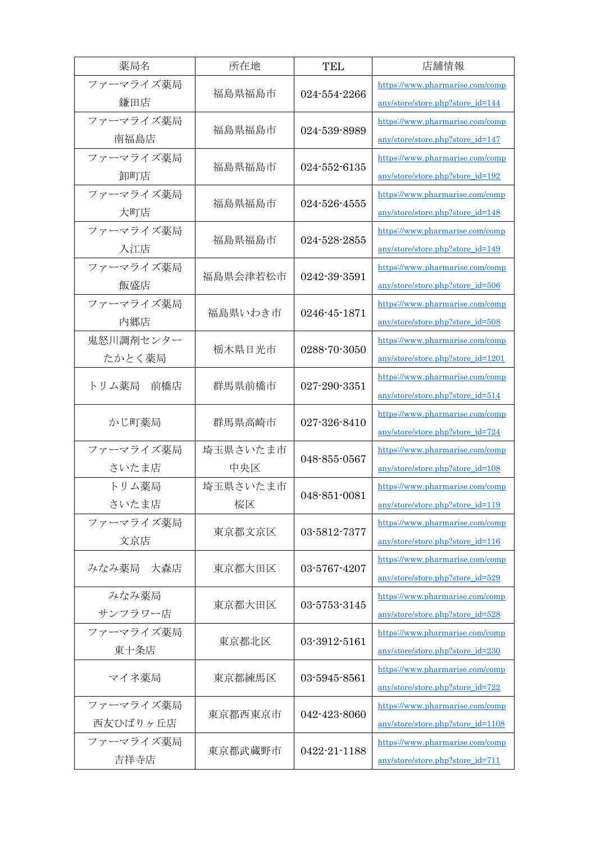| 薬局名                   | 所在地             | <b>TEL</b>   | 店舗情報                                                                 |
|-----------------------|-----------------|--------------|----------------------------------------------------------------------|
| ファーマライズ薬局<br>鎌田店      | 福島県福島市          | 024-554-2266 | https://www.pharmarise.com/comp<br>any/store/store.php?store_id=144  |
| ファーマライズ薬局<br>南福島店     | 福島県福島市          | 024-539-8989 | https://www.pharmarise.com/comp<br>any/store/store.php?store_id=147  |
| ファーマライズ薬局<br>卸町店      | 福島県福島市          | 024-552-6135 | https://www.pharmarise.com/comp<br>any/store/store.php?store_id=192  |
| ファーマライズ薬局<br>大町店      | 福島県福島市          | 024-526-4555 | https://www.pharmarise.com/comp<br>any/store/store.php?store_id=148  |
| ファーマライズ薬局<br>入江店      | 福島県福島市          | 024-528-2855 | https://www.pharmarise.com/comp<br>any/store/store.php?store_id=149  |
| ファーマライズ薬局<br>飯盛店      | 福島県会津若松市        | 0242-39-3591 | https://www.pharmarise.com/comp<br>any/store/store.php?store_id=506  |
| ファーマライズ薬局<br>内郷店      | 福島県いわき市         | 0246-45-1871 | https://www.pharmarise.com/comp<br>any/store/store.php?store_id=508  |
| 鬼怒川調剤センター<br>たかとく薬局   | 栃木県日光市          | 0288-70-3050 | https://www.pharmarise.com/comp<br>any/store/store.php?store_id=1201 |
| トリム薬局<br>前橋店          | 群馬県前橋市          | 027-290-3351 | https://www.pharmarise.com/comp<br>any/store/store.php?store_id=514  |
| かじ町薬局                 | 群馬県高崎市          | 027-326-8410 | https://www.pharmarise.com/comp<br>any/store/store.php?store_id=724  |
| ファーマライズ薬局<br>さいたま店    | 埼玉県さいたま市<br>中央区 | 048-855-0567 | https://www.pharmarise.com/comp<br>any/store/store.php?store_id=108  |
| トリム薬局<br>さいたま店        | 埼玉県さいたま市<br>桜区  | 048-851-0081 | https://www.pharmarise.com/comp<br>any/store/store.php?store_id=119  |
| ファーマライズ薬局<br>文京店      | 東京都文京区          | 03-5812-7377 | https://www.pharmarise.com/comp<br>any/store/store.php?store_id=116  |
| みなみ薬局<br>大森店          | 東京都大田区          | 03-5767-4207 | https://www.pharmarise.com/comp<br>any/store/store.php?store_id=529  |
| みなみ薬局<br>サンフラワー店      | 東京都大田区          | 03-5753-3145 | https://www.pharmarise.com/comp<br>any/store/store.php?store_id=528  |
| ファーマライズ薬局<br>東十条店     | 東京都北区           | 03-3912-5161 | https://www.pharmarise.com/comp<br>any/store/store.php?store_id=230  |
| マイネ薬局                 | 東京都練馬区          | 03-5945-8561 | https://www.pharmarise.com/comp<br>any/store/store.php?store_id=722  |
| ファーマライズ薬局<br>西友ひばりヶ丘店 | 東京都西東京市         | 042-423-8060 | https://www.pharmarise.com/comp<br>any/store/store.php?store_id=1108 |
| ファーマライズ薬局<br>吉祥寺店     | 東京都武蔵野市         | 0422-21-1188 | https://www.pharmarise.com/comp<br>any/store/store.php?store_id=711  |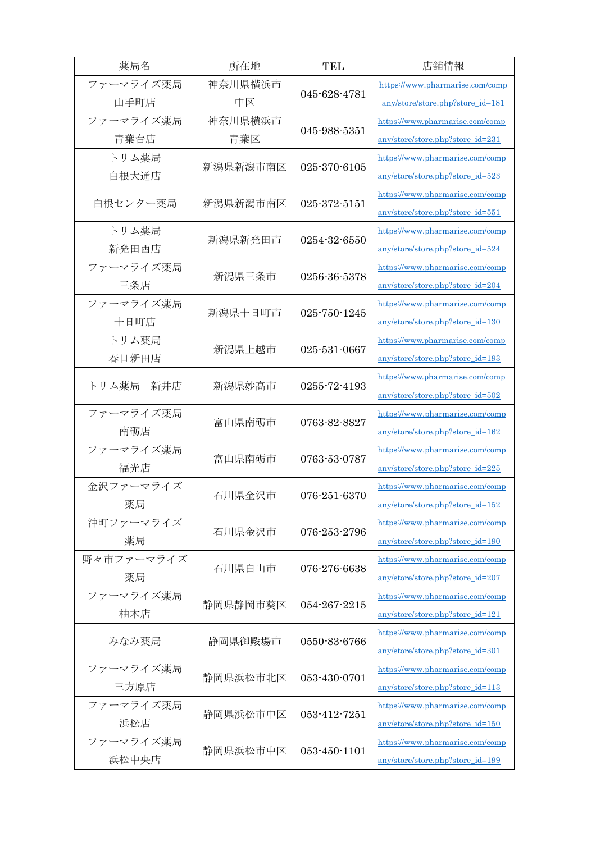| 薬局名          | 所在地      | <b>TEL</b>   | 店舗情報                             |
|--------------|----------|--------------|----------------------------------|
| ファーマライズ薬局    | 神奈川県横浜市  |              | https://www.pharmarise.com/comp  |
| 山手町店         | 中区       | 045-628-4781 | any/store/store.php?store_id=181 |
| ファーマライズ薬局    | 神奈川県横浜市  |              | https://www.pharmarise.com/comp  |
| 青葉台店         | 青葉区      | 045-988-5351 | any/store/store.php?store_id=231 |
| トリム薬局        |          | 025-370-6105 | https://www.pharmarise.com/comp  |
| 白根大通店        | 新潟県新潟市南区 |              | any/store/store.php?store_id=523 |
|              | 新潟県新潟市南区 | 025-372-5151 | https://www.pharmarise.com/comp  |
| 白根センター薬局     |          |              | any/store/store.php?store_id=551 |
| トリム薬局        |          | 0254-32-6550 | https://www.pharmarise.com/comp  |
| 新発田西店        | 新潟県新発田市  |              | any/store/store.php?store_id=524 |
| ファーマライズ薬局    |          |              | https://www.pharmarise.com/comp  |
| 三条店          | 新潟県三条市   | 0256-36-5378 | any/store/store.php?store_id=204 |
| ファーマライズ薬局    |          |              | https://www.pharmarise.com/comp  |
| 十日町店         | 新潟県十日町市  | 025-750-1245 | any/store/store.php?store_id=130 |
| トリム薬局        |          |              | https://www.pharmarise.com/comp  |
| 春日新田店        | 新潟県上越市   | 025-531-0667 | any/store/store.php?store_id=193 |
|              |          |              | https://www.pharmarise.com/comp  |
| トリム薬局<br>新井店 | 新潟県妙高市   | 0255-72-4193 | any/store/store.php?store_id=502 |
| ファーマライズ薬局    |          | 0763-82-8827 | https://www.pharmarise.com/comp  |
| 南砺店          | 富山県南砺市   |              | any/store/store.php?store_id=162 |
| ファーマライズ薬局    |          | 0763-53-0787 | https://www.pharmarise.com/comp  |
| 福光店          | 富山県南砺市   |              | any/store/store.php?store_id=225 |
| 金沢ファーマライズ    |          |              | https://www.pharmarise.com/comp  |
| 薬局           | 石川県金沢市   | 076-251-6370 | any/store/store.php?store_id=152 |
| 沖町ファーマライズ    |          |              | https://www.pharmarise.com/comp  |
| 薬局           | 石川県金沢市   | 076-253-2796 | any/store/store.php?store_id=190 |
| 野々市ファーマライズ   | 石川県白山市   |              | https://www.pharmarise.com/comp  |
| 薬局           |          | 076-276-6638 | any/store/store.php?store_id=207 |
| ファーマライズ薬局    |          | 054-267-2215 | https://www.pharmarise.com/comp  |
| 柚木店          | 静岡県静岡市葵区 |              | any/store/store.php?store_id=121 |
|              | 静岡県御殿場市  | 0550-83-6766 | https://www.pharmarise.com/comp  |
| みなみ薬局        |          |              | any/store/store.php?store_id=301 |
| ファーマライズ薬局    | 静岡県浜松市北区 | 053-430-0701 | https://www.pharmarise.com/comp  |
| 三方原店         |          |              | any/store/store.php?store_id=113 |
| ファーマライズ薬局    | 静岡県浜松市中区 | 053-412-7251 | https://www.pharmarise.com/comp  |
| 浜松店          |          |              | any/store/store.php?store_id=150 |
| ファーマライズ薬局    |          | 053-450-1101 | https://www.pharmarise.com/comp  |
| 浜松中央店        | 静岡県浜松市中区 |              | any/store/store.php?store_id=199 |